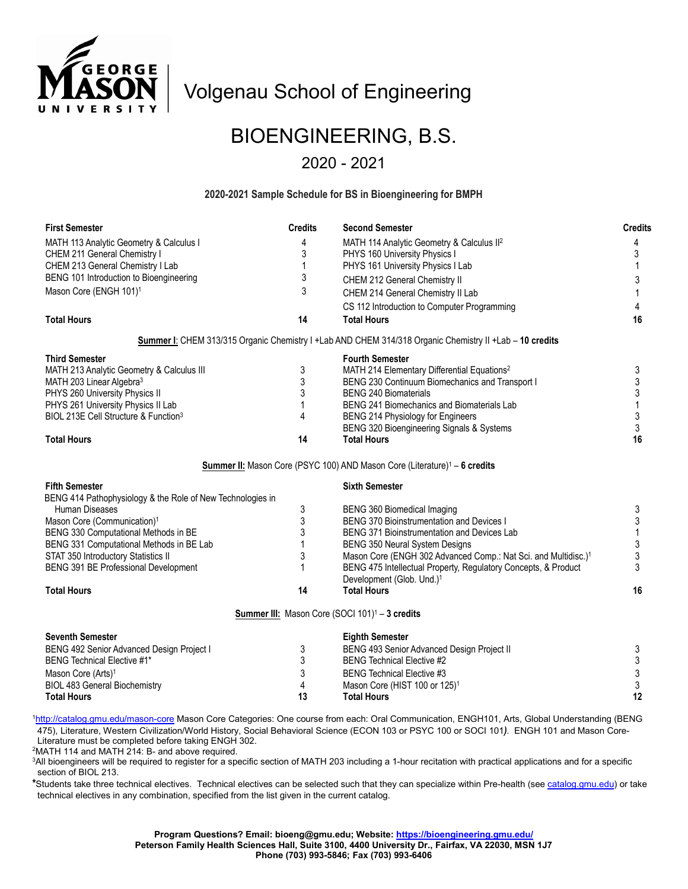

# Volgenau School of Engineering

# BIOENGINEERING, B.S.

### 2020 - 2021

#### **2020-2021 Sample Schedule for BS in Bioengineering for BMPH**

| <b>First Semester</b>                                                                                   | <b>Credits</b> | <b>Second Semester</b>                                                     | <b>Credits</b> |
|---------------------------------------------------------------------------------------------------------|----------------|----------------------------------------------------------------------------|----------------|
| MATH 113 Analytic Geometry & Calculus I                                                                 | 4              | MATH 114 Analytic Geometry & Calculus II <sup>2</sup>                      | 4              |
| CHEM 211 General Chemistry I                                                                            | 3              | PHYS 160 University Physics I                                              | 3              |
| CHEM 213 General Chemistry I Lab                                                                        | $\mathbf{1}$   | PHYS 161 University Physics I Lab                                          | 1              |
| BENG 101 Introduction to Bioengineering                                                                 | 3              | CHEM 212 General Chemistry II                                              | 3              |
| Mason Core (ENGH 101) <sup>1</sup>                                                                      | 3              | CHEM 214 General Chemistry II Lab                                          |                |
|                                                                                                         |                | CS 112 Introduction to Computer Programming                                | 4              |
| <b>Total Hours</b>                                                                                      | 14             | <b>Total Hours</b>                                                         | 16             |
| Summer I: CHEM 313/315 Organic Chemistry I +Lab AND CHEM 314/318 Organic Chemistry II +Lab - 10 credits |                |                                                                            |                |
| <b>Third Semester</b>                                                                                   |                | <b>Fourth Semester</b>                                                     |                |
| MATH 213 Analytic Geometry & Calculus III                                                               | 3              | MATH 214 Elementary Differential Equations <sup>2</sup>                    | 3              |
| MATH 203 Linear Algebra <sup>3</sup>                                                                    | 3              | BENG 230 Continuum Biomechanics and Transport I                            | 3              |
| PHYS 260 University Physics II                                                                          | 3              | <b>BENG 240 Biomaterials</b>                                               | 3              |
| PHYS 261 University Physics II Lab                                                                      | 1              | <b>BENG 241 Biomechanics and Biomaterials Lab</b>                          | 1              |
| BIOL 213E Cell Structure & Function <sup>3</sup>                                                        | 4              | BENG 214 Physiology for Engineers                                          | 3              |
|                                                                                                         |                | BENG 320 Bioengineering Signals & Systems                                  | 3              |
| <b>Total Hours</b>                                                                                      | 14             | <b>Total Hours</b>                                                         | 16             |
| Summer II: Mason Core (PSYC 100) AND Mason Core (Literature) <sup>1</sup> - 6 credits                   |                |                                                                            |                |
| <b>Fifth Semester</b>                                                                                   |                | <b>Sixth Semester</b>                                                      |                |
| BENG 414 Pathophysiology & the Role of New Technologies in                                              |                |                                                                            |                |
| Human Diseases                                                                                          | 3              | <b>BENG 360 Biomedical Imaging</b>                                         | 3              |
| Mason Core (Communication) <sup>1</sup>                                                                 | 3              | <b>BENG 370 Bioinstrumentation and Devices I</b>                           | 3              |
| BENG 330 Computational Methods in BE                                                                    | 3              | BENG 371 Bioinstrumentation and Devices Lab                                |                |
| BENG 331 Computational Methods in BE Lab                                                                | 1              | BENG 350 Neural System Designs                                             | 3              |
| STAT 350 Introductory Statistics II                                                                     | 3              | Mason Core (ENGH 302 Advanced Comp.: Nat Sci. and Multidisc.) <sup>1</sup> | 3              |
| BENG 391 BE Professional Development                                                                    |                | BENG 475 Intellectual Property, Regulatory Concepts, & Product             | 3              |
|                                                                                                         |                | Development (Glob. Und.) <sup>1</sup>                                      |                |
| <b>Total Hours</b>                                                                                      | 14             | <b>Total Hours</b>                                                         | 16             |
| Summer III: Mason Core (SOCI 101) <sup>1</sup> - 3 credits                                              |                |                                                                            |                |
| <b>Seventh Semester</b>                                                                                 |                | <b>Eighth Semester</b>                                                     |                |
| BENG 492 Senior Advanced Design Project I                                                               | 3              | BENG 493 Senior Advanced Design Project II                                 | 3              |
| <b>BENG Technical Elective #1*</b>                                                                      | 3              | <b>BENG Technical Elective #2</b>                                          | 3              |
| Mason Core (Arts) <sup>1</sup>                                                                          | 3              | <b>BENG Technical Elective #3</b>                                          | 3              |
| <b>BIOL 483 General Biochemistry</b>                                                                    | 4              | Mason Core (HIST 100 or 125) <sup>1</sup>                                  | 3              |
| <b>Total Hours</b>                                                                                      | 13             | <b>Total Hours</b>                                                         | 12             |
|                                                                                                         |                |                                                                            |                |

<sup>1</sup><http://catalog.gmu.edu/mason-core> Mason Core Categories: One course from each: Oral Communication, ENGH101, Arts, Global Understanding (BENG 475), Literature, Western Civilization/World History, Social Behavioral Science (ECON 103 or PSYC 100 or SOCI 101*)*. ENGH 101 and Mason Core-

Literature must be completed before taking ENGH 302.

2 MATH 114 and MATH 214: B- and above required.

3 All bioengineers will be required to register for a specific section of MATH 203 including a 1-hour recitation with practical applications and for a specific section of BIOL 213.

**\***Students take three technical electives. Technical electives can be selected such that they can specialize within Pre-health (se[e catalog.gmu.edu\)](file://mesa2.mesa.gmu.edu/cborke/Advising/Curriculum/2019%20Curriculum/catalog.gmu.edu) or take technical electives in any combination, specified from the list given in the current catalog.